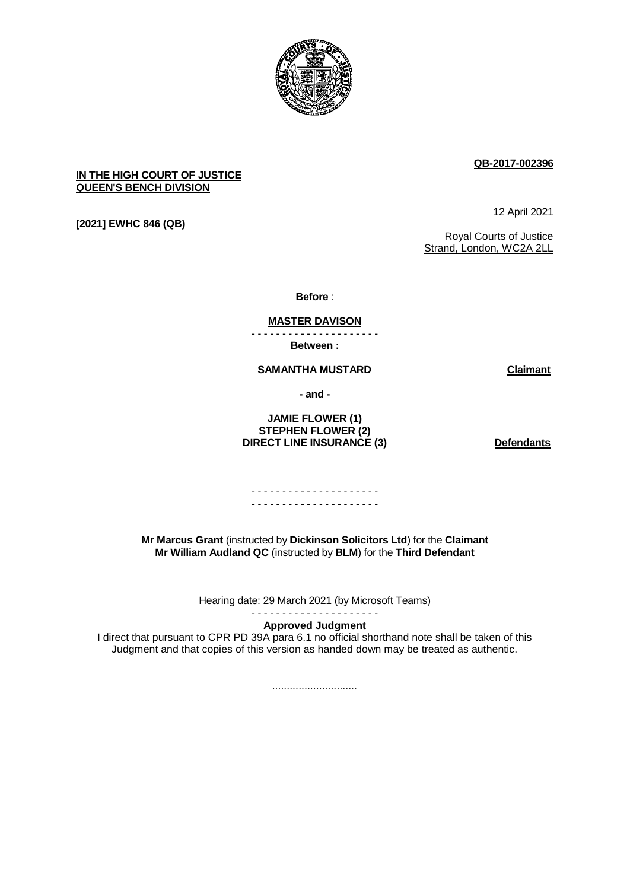

# **QB-2017-002396**

## **IN THE HIGH COURT OF JUSTICE QUEEN'S BENCH DIVISION**

**[2021] EWHC 846 (QB)** 

12 April 2021

Royal Courts of Justice Strand, London, WC2A 2LL

**Before** :

#### **MASTER DAVISON** - - - - - - - - - - - - - - - - - - - - -

**Between :**

**SAMANTHA MUSTARD Claimant**

**- and -**

### **JAMIE FLOWER (1) STEPHEN FLOWER (2) DIRECT LINE INSURANCE (3)** Defendants

### - - - - - - - - - - - - - - - - - - - - - - - - - - - - - - - - - - - - - - - - - -

**Mr Marcus Grant** (instructed by **Dickinson Solicitors Ltd**) for the **Claimant Mr William Audland QC** (instructed by **BLM**) for the **Third Defendant**

Hearing date: 29 March 2021 (by Microsoft Teams)

#### - - - - - - - - - - - - - - - - - - - - - **Approved Judgment**

I direct that pursuant to CPR PD 39A para 6.1 no official shorthand note shall be taken of this Judgment and that copies of this version as handed down may be treated as authentic.

.............................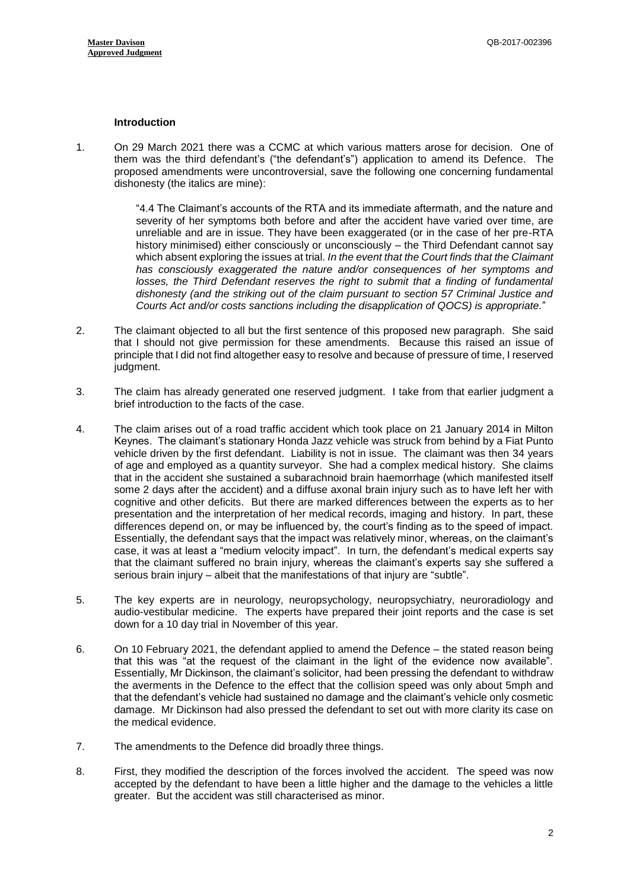## **Introduction**

1. On 29 March 2021 there was a CCMC at which various matters arose for decision. One of them was the third defendant's ("the defendant's") application to amend its Defence. The proposed amendments were uncontroversial, save the following one concerning fundamental dishonesty (the italics are mine):

> "4.4 The Claimant's accounts of the RTA and its immediate aftermath, and the nature and severity of her symptoms both before and after the accident have varied over time, are unreliable and are in issue. They have been exaggerated (or in the case of her pre-RTA history minimised) either consciously or unconsciously – the Third Defendant cannot say which absent exploring the issues at trial. *In the event that the Court finds that the Claimant has consciously exaggerated the nature and/or consequences of her symptoms and losses, the Third Defendant reserves the right to submit that a finding of fundamental dishonesty (and the striking out of the claim pursuant to section 57 Criminal Justice and Courts Act and/or costs sanctions including the disapplication of QOCS) is appropriate.*"

- 2. The claimant objected to all but the first sentence of this proposed new paragraph. She said that I should not give permission for these amendments. Because this raised an issue of principle that I did not find altogether easy to resolve and because of pressure of time, I reserved judgment.
- 3. The claim has already generated one reserved judgment. I take from that earlier judgment a brief introduction to the facts of the case.
- 4. The claim arises out of a road traffic accident which took place on 21 January 2014 in Milton Keynes. The claimant's stationary Honda Jazz vehicle was struck from behind by a Fiat Punto vehicle driven by the first defendant. Liability is not in issue. The claimant was then 34 years of age and employed as a quantity surveyor. She had a complex medical history. She claims that in the accident she sustained a subarachnoid brain haemorrhage (which manifested itself some 2 days after the accident) and a diffuse axonal brain injury such as to have left her with cognitive and other deficits. But there are marked differences between the experts as to her presentation and the interpretation of her medical records, imaging and history. In part, these differences depend on, or may be influenced by, the court's finding as to the speed of impact. Essentially, the defendant says that the impact was relatively minor, whereas, on the claimant's case, it was at least a "medium velocity impact". In turn, the defendant's medical experts say that the claimant suffered no brain injury, whereas the claimant's experts say she suffered a serious brain injury – albeit that the manifestations of that injury are "subtle".
- 5. The key experts are in neurology, neuropsychology, neuropsychiatry, neuroradiology and audio-vestibular medicine. The experts have prepared their joint reports and the case is set down for a 10 day trial in November of this year.
- 6. On 10 February 2021, the defendant applied to amend the Defence the stated reason being that this was "at the request of the claimant in the light of the evidence now available". Essentially, Mr Dickinson, the claimant's solicitor, had been pressing the defendant to withdraw the averments in the Defence to the effect that the collision speed was only about 5mph and that the defendant's vehicle had sustained no damage and the claimant's vehicle only cosmetic damage. Mr Dickinson had also pressed the defendant to set out with more clarity its case on the medical evidence.
- 7. The amendments to the Defence did broadly three things.
- 8. First, they modified the description of the forces involved the accident. The speed was now accepted by the defendant to have been a little higher and the damage to the vehicles a little greater. But the accident was still characterised as minor.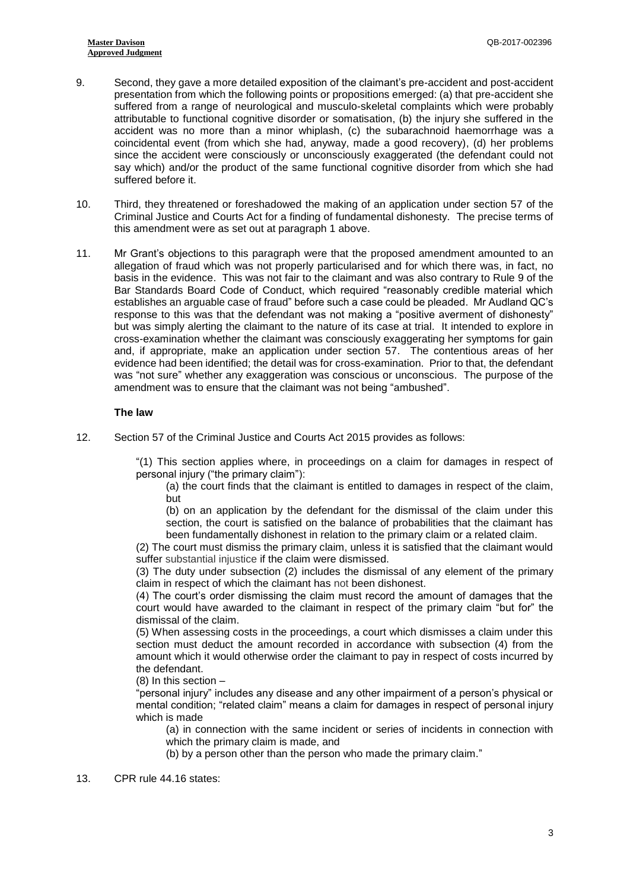- 9. Second, they gave a more detailed exposition of the claimant's pre-accident and post-accident presentation from which the following points or propositions emerged: (a) that pre-accident she suffered from a range of neurological and musculo-skeletal complaints which were probably attributable to functional cognitive disorder or somatisation, (b) the injury she suffered in the accident was no more than a minor whiplash, (c) the subarachnoid haemorrhage was a coincidental event (from which she had, anyway, made a good recovery), (d) her problems since the accident were consciously or unconsciously exaggerated (the defendant could not say which) and/or the product of the same functional cognitive disorder from which she had suffered before it.
- 10. Third, they threatened or foreshadowed the making of an application under section 57 of the Criminal Justice and Courts Act for a finding of fundamental dishonesty. The precise terms of this amendment were as set out at paragraph 1 above.
- 11. Mr Grant's objections to this paragraph were that the proposed amendment amounted to an allegation of fraud which was not properly particularised and for which there was, in fact, no basis in the evidence. This was not fair to the claimant and was also contrary to Rule 9 of the Bar Standards Board Code of Conduct, which required "reasonably credible material which establishes an arguable case of fraud" before such a case could be pleaded. Mr Audland QC's response to this was that the defendant was not making a "positive averment of dishonesty" but was simply alerting the claimant to the nature of its case at trial. It intended to explore in cross-examination whether the claimant was consciously exaggerating her symptoms for gain and, if appropriate, make an application under section 57. The contentious areas of her evidence had been identified; the detail was for cross-examination. Prior to that, the defendant was "not sure" whether any exaggeration was conscious or unconscious. The purpose of the amendment was to ensure that the claimant was not being "ambushed".

### **The law**

12. Section 57 of the Criminal Justice and Courts Act 2015 provides as follows:

"(1) This section applies where, in proceedings on a claim for damages in respect of personal injury ("the primary claim"):

(a) the court finds that the claimant is entitled to damages in respect of the claim, but

(b) on an application by the defendant for the dismissal of the claim under this section, the court is satisfied on the balance of probabilities that the claimant has been fundamentally dishonest in relation to the primary claim or a related claim.

(2) The court must dismiss the primary claim, unless it is satisfied that the claimant would suffer substantial injustice if the claim were dismissed.

(3) The duty under subsection (2) includes the dismissal of any element of the primary claim in respect of which the claimant has not been dishonest.

(4) The court's order dismissing the claim must record the amount of damages that the court would have awarded to the claimant in respect of the primary claim "but for" the dismissal of the claim.

(5) When assessing costs in the proceedings, a court which dismisses a claim under this section must deduct the amount recorded in accordance with subsection (4) from the amount which it would otherwise order the claimant to pay in respect of costs incurred by the defendant.

(8) In this section –

"personal injury" includes any disease and any other impairment of a person's physical or mental condition; "related claim" means a claim for damages in respect of personal injury which is made

(a) in connection with the same incident or series of incidents in connection with which the primary claim is made, and

(b) by a person other than the person who made the primary claim."

13. CPR rule 44.16 states: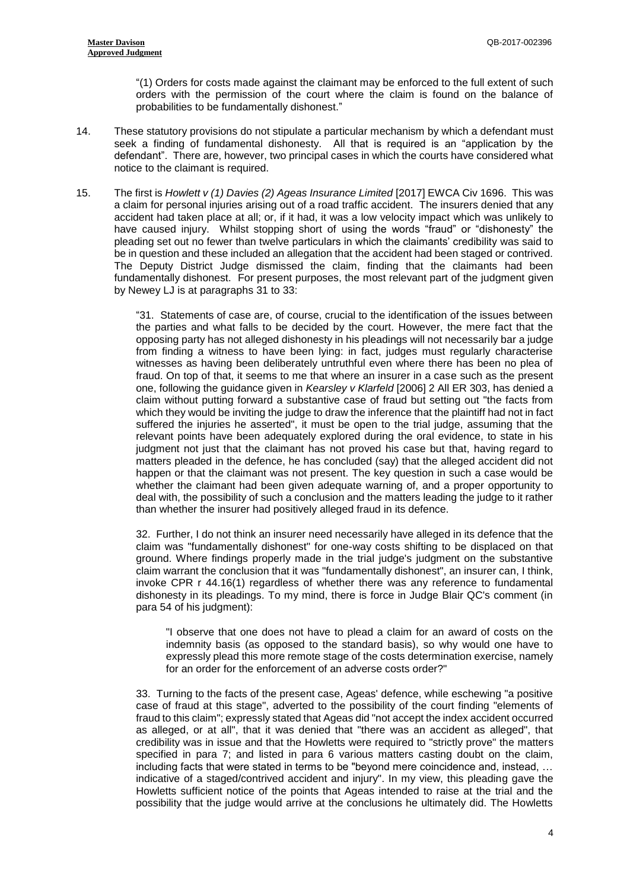"(1) Orders for costs made against the claimant may be enforced to the full extent of such orders with the permission of the court where the claim is found on the balance of probabilities to be fundamentally dishonest."

- 14. These statutory provisions do not stipulate a particular mechanism by which a defendant must seek a finding of fundamental dishonesty. All that is required is an "application by the defendant". There are, however, two principal cases in which the courts have considered what notice to the claimant is required.
- 15. The first is *Howlett v (1) Davies (2) Ageas Insurance Limited* [2017] EWCA Civ 1696. This was a claim for personal injuries arising out of a road traffic accident. The insurers denied that any accident had taken place at all; or, if it had, it was a low velocity impact which was unlikely to have caused injury. Whilst stopping short of using the words "fraud" or "dishonesty" the pleading set out no fewer than twelve particulars in which the claimants' credibility was said to be in question and these included an allegation that the accident had been staged or contrived. The Deputy District Judge dismissed the claim, finding that the claimants had been fundamentally dishonest. For present purposes, the most relevant part of the judgment given by Newey LJ is at paragraphs 31 to 33:

"31. Statements of case are, of course, crucial to the identification of the issues between the parties and what falls to be decided by the court. However, the mere fact that the opposing party has not alleged dishonesty in his pleadings will not necessarily bar a judge from finding a witness to have been lying: in fact, judges must regularly characterise witnesses as having been deliberately untruthful even where there has been no plea of fraud. On top of that, it seems to me that where an insurer in a case such as the present one, following the guidance given in *Kearsley v Klarfeld* [2006] 2 All ER 303, has denied a claim without putting forward a substantive case of fraud but setting out "the facts from which they would be inviting the judge to draw the inference that the plaintiff had not in fact suffered the injuries he asserted", it must be open to the trial judge, assuming that the relevant points have been adequately explored during the oral evidence, to state in his judgment not just that the claimant has not proved his case but that, having regard to matters pleaded in the defence, he has concluded (say) that the alleged accident did not happen or that the claimant was not present. The key question in such a case would be whether the claimant had been given adequate warning of, and a proper opportunity to deal with, the possibility of such a conclusion and the matters leading the judge to it rather than whether the insurer had positively alleged fraud in its defence.

32. Further, I do not think an insurer need necessarily have alleged in its defence that the claim was "fundamentally dishonest" for one-way costs shifting to be displaced on that ground. Where findings properly made in the trial judge's judgment on the substantive claim warrant the conclusion that it was "fundamentally dishonest", an insurer can, I think, invoke CPR r 44.16(1) regardless of whether there was any reference to fundamental dishonesty in its pleadings. To my mind, there is force in Judge Blair QC's comment (in para 54 of his judgment):

"I observe that one does not have to plead a claim for an award of costs on the indemnity basis (as opposed to the standard basis), so why would one have to expressly plead this more remote stage of the costs determination exercise, namely for an order for the enforcement of an adverse costs order?"

33. Turning to the facts of the present case, Ageas' defence, while eschewing "a positive case of fraud at this stage", adverted to the possibility of the court finding "elements of fraud to this claim"; expressly stated that Ageas did "not accept the index accident occurred as alleged, or at all", that it was denied that "there was an accident as alleged", that credibility was in issue and that the Howletts were required to "strictly prove" the matters specified in para 7; and listed in para 6 various matters casting doubt on the claim, including facts that were stated in terms to be "beyond mere coincidence and, instead, … indicative of a staged/contrived accident and injury". In my view, this pleading gave the Howletts sufficient notice of the points that Ageas intended to raise at the trial and the possibility that the judge would arrive at the conclusions he ultimately did. The Howletts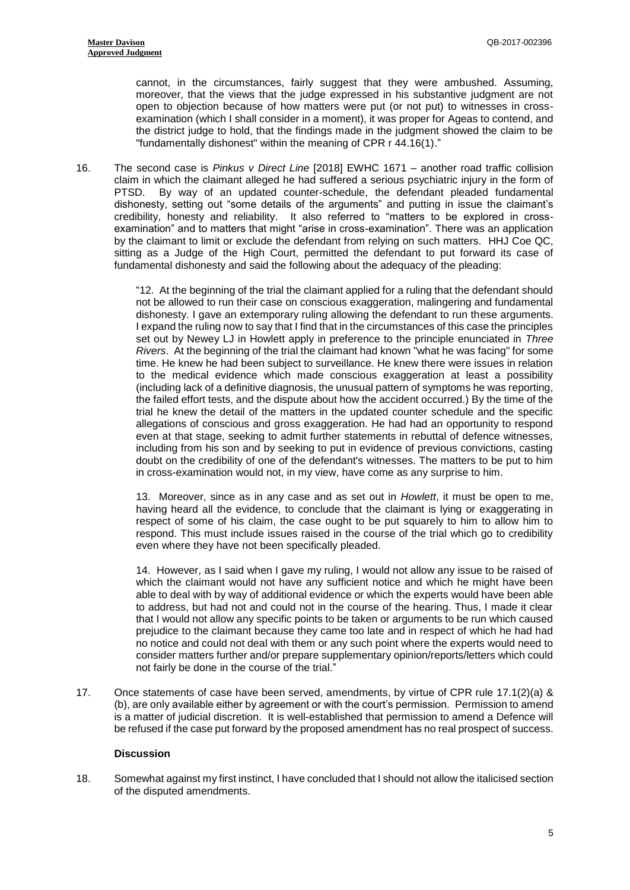cannot, in the circumstances, fairly suggest that they were ambushed. Assuming, moreover, that the views that the judge expressed in his substantive judgment are not open to objection because of how matters were put (or not put) to witnesses in crossexamination (which I shall consider in a moment), it was proper for Ageas to contend, and the district judge to hold, that the findings made in the judgment showed the claim to be "fundamentally dishonest" within the meaning of CPR r 44.16(1)."

16. The second case is *Pinkus v Direct Line* [2018] EWHC 1671 – another road traffic collision claim in which the claimant alleged he had suffered a serious psychiatric injury in the form of PTSD. By way of an updated counter-schedule, the defendant pleaded fundamental dishonesty, setting out "some details of the arguments" and putting in issue the claimant's credibility, honesty and reliability. It also referred to "matters to be explored in crossexamination" and to matters that might "arise in cross-examination". There was an application by the claimant to limit or exclude the defendant from relying on such matters. HHJ Coe QC, sitting as a Judge of the High Court, permitted the defendant to put forward its case of fundamental dishonesty and said the following about the adequacy of the pleading:

> "12. At the beginning of the trial the claimant applied for a ruling that the defendant should not be allowed to run their case on conscious exaggeration, malingering and fundamental dishonesty. I gave an extemporary ruling allowing the defendant to run these arguments. I expand the ruling now to say that I find that in the circumstances of this case the principles set out by Newey LJ in Howlett apply in preference to the principle enunciated in *Three Rivers*. At the beginning of the trial the claimant had known "what he was facing" for some time. He knew he had been subject to surveillance. He knew there were issues in relation to the medical evidence which made conscious exaggeration at least a possibility (including lack of a definitive diagnosis, the unusual pattern of symptoms he was reporting, the failed effort tests, and the dispute about how the accident occurred.) By the time of the trial he knew the detail of the matters in the updated counter schedule and the specific allegations of conscious and gross exaggeration. He had had an opportunity to respond even at that stage, seeking to admit further statements in rebuttal of defence witnesses, including from his son and by seeking to put in evidence of previous convictions, casting doubt on the credibility of one of the defendant's witnesses. The matters to be put to him in cross-examination would not, in my view, have come as any surprise to him.

> 13. Moreover, since as in any case and as set out in *Howlett*, it must be open to me, having heard all the evidence, to conclude that the claimant is lying or exaggerating in respect of some of his claim, the case ought to be put squarely to him to allow him to respond. This must include issues raised in the course of the trial which go to credibility even where they have not been specifically pleaded.

> 14. However, as I said when I gave my ruling, I would not allow any issue to be raised of which the claimant would not have any sufficient notice and which he might have been able to deal with by way of additional evidence or which the experts would have been able to address, but had not and could not in the course of the hearing. Thus, I made it clear that I would not allow any specific points to be taken or arguments to be run which caused prejudice to the claimant because they came too late and in respect of which he had had no notice and could not deal with them or any such point where the experts would need to consider matters further and/or prepare supplementary opinion/reports/letters which could not fairly be done in the course of the trial."

17. Once statements of case have been served, amendments, by virtue of CPR rule 17.1(2)(a) & (b), are only available either by agreement or with the court's permission. Permission to amend is a matter of judicial discretion. It is well-established that permission to amend a Defence will be refused if the case put forward by the proposed amendment has no real prospect of success.

## **Discussion**

18. Somewhat against my first instinct, I have concluded that I should not allow the italicised section of the disputed amendments.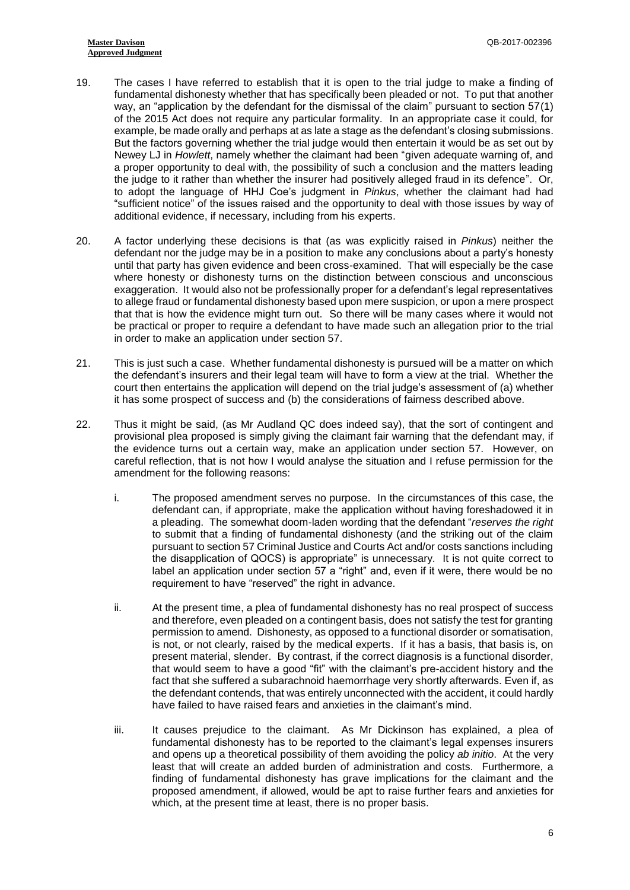- 19. The cases I have referred to establish that it is open to the trial judge to make a finding of fundamental dishonesty whether that has specifically been pleaded or not. To put that another way, an "application by the defendant for the dismissal of the claim" pursuant to section 57(1) of the 2015 Act does not require any particular formality. In an appropriate case it could, for example, be made orally and perhaps at as late a stage as the defendant's closing submissions. But the factors governing whether the trial judge would then entertain it would be as set out by Newey LJ in *Howlett*, namely whether the claimant had been "given adequate warning of, and a proper opportunity to deal with, the possibility of such a conclusion and the matters leading the judge to it rather than whether the insurer had positively alleged fraud in its defence". Or, to adopt the language of HHJ Coe's judgment in *Pinkus*, whether the claimant had had "sufficient notice" of the issues raised and the opportunity to deal with those issues by way of additional evidence, if necessary, including from his experts.
- 20. A factor underlying these decisions is that (as was explicitly raised in *Pinkus*) neither the defendant nor the judge may be in a position to make any conclusions about a party's honesty until that party has given evidence and been cross-examined. That will especially be the case where honesty or dishonesty turns on the distinction between conscious and unconscious exaggeration. It would also not be professionally proper for a defendant's legal representatives to allege fraud or fundamental dishonesty based upon mere suspicion, or upon a mere prospect that that is how the evidence might turn out. So there will be many cases where it would not be practical or proper to require a defendant to have made such an allegation prior to the trial in order to make an application under section 57.
- 21. This is just such a case. Whether fundamental dishonesty is pursued will be a matter on which the defendant's insurers and their legal team will have to form a view at the trial. Whether the court then entertains the application will depend on the trial judge's assessment of (a) whether it has some prospect of success and (b) the considerations of fairness described above.
- 22. Thus it might be said, (as Mr Audland QC does indeed say), that the sort of contingent and provisional plea proposed is simply giving the claimant fair warning that the defendant may, if the evidence turns out a certain way, make an application under section 57. However, on careful reflection, that is not how I would analyse the situation and I refuse permission for the amendment for the following reasons:
	- i. The proposed amendment serves no purpose. In the circumstances of this case, the defendant can, if appropriate, make the application without having foreshadowed it in a pleading. The somewhat doom-laden wording that the defendant "*reserves the right* to submit that a finding of fundamental dishonesty (and the striking out of the claim pursuant to section 57 Criminal Justice and Courts Act and/or costs sanctions including the disapplication of QOCS) is appropriate" is unnecessary. It is not quite correct to label an application under section 57 a "right" and, even if it were, there would be no requirement to have "reserved" the right in advance.
	- ii. At the present time, a plea of fundamental dishonesty has no real prospect of success and therefore, even pleaded on a contingent basis, does not satisfy the test for granting permission to amend. Dishonesty, as opposed to a functional disorder or somatisation, is not, or not clearly, raised by the medical experts. If it has a basis, that basis is, on present material, slender. By contrast, if the correct diagnosis is a functional disorder, that would seem to have a good "fit" with the claimant's pre-accident history and the fact that she suffered a subarachnoid haemorrhage very shortly afterwards. Even if, as the defendant contends, that was entirely unconnected with the accident, it could hardly have failed to have raised fears and anxieties in the claimant's mind.
	- iii. It causes prejudice to the claimant. As Mr Dickinson has explained, a plea of fundamental dishonesty has to be reported to the claimant's legal expenses insurers and opens up a theoretical possibility of them avoiding the policy *ab initio*. At the very least that will create an added burden of administration and costs. Furthermore, a finding of fundamental dishonesty has grave implications for the claimant and the proposed amendment, if allowed, would be apt to raise further fears and anxieties for which, at the present time at least, there is no proper basis.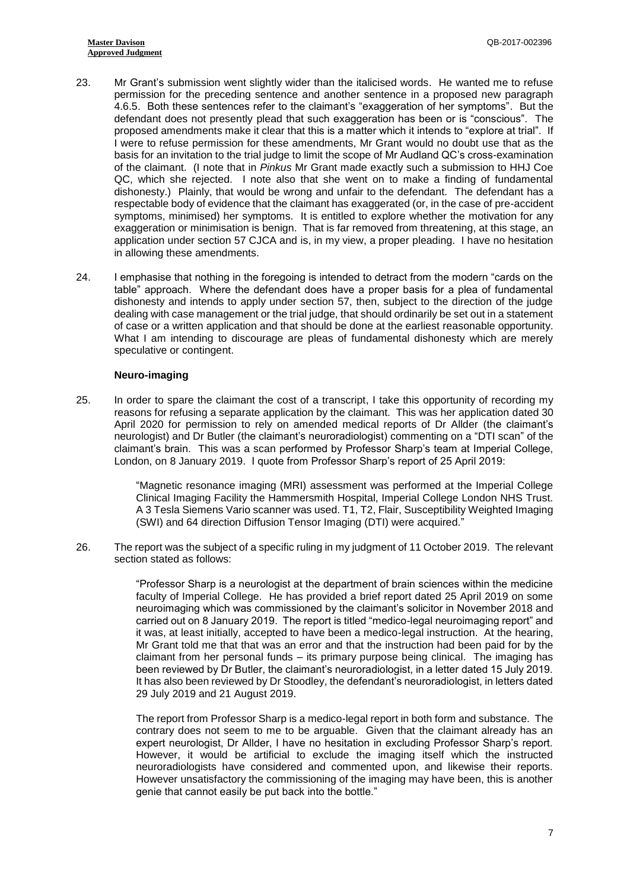- 23. Mr Grant's submission went slightly wider than the italicised words. He wanted me to refuse permission for the preceding sentence and another sentence in a proposed new paragraph 4.6.5. Both these sentences refer to the claimant's "exaggeration of her symptoms". But the defendant does not presently plead that such exaggeration has been or is "conscious". The proposed amendments make it clear that this is a matter which it intends to "explore at trial". If I were to refuse permission for these amendments, Mr Grant would no doubt use that as the basis for an invitation to the trial judge to limit the scope of Mr Audland QC's cross-examination of the claimant. (I note that in *Pinkus* Mr Grant made exactly such a submission to HHJ Coe QC, which she rejected. I note also that she went on to make a finding of fundamental dishonesty.) Plainly, that would be wrong and unfair to the defendant. The defendant has a respectable body of evidence that the claimant has exaggerated (or, in the case of pre-accident symptoms, minimised) her symptoms. It is entitled to explore whether the motivation for any exaggeration or minimisation is benign. That is far removed from threatening, at this stage, an application under section 57 CJCA and is, in my view, a proper pleading. I have no hesitation in allowing these amendments.
- 24. I emphasise that nothing in the foregoing is intended to detract from the modern "cards on the table" approach. Where the defendant does have a proper basis for a plea of fundamental dishonesty and intends to apply under section 57, then, subject to the direction of the judge dealing with case management or the trial judge, that should ordinarily be set out in a statement of case or a written application and that should be done at the earliest reasonable opportunity. What I am intending to discourage are pleas of fundamental dishonesty which are merely speculative or contingent.

### **Neuro-imaging**

25. In order to spare the claimant the cost of a transcript, I take this opportunity of recording my reasons for refusing a separate application by the claimant. This was her application dated 30 April 2020 for permission to rely on amended medical reports of Dr Allder (the claimant's neurologist) and Dr Butler (the claimant's neuroradiologist) commenting on a "DTI scan" of the claimant's brain. This was a scan performed by Professor Sharp's team at Imperial College, London, on 8 January 2019. I quote from Professor Sharp's report of 25 April 2019:

> "Magnetic resonance imaging (MRI) assessment was performed at the Imperial College Clinical Imaging Facility the Hammersmith Hospital, Imperial College London NHS Trust. A 3 Tesla Siemens Vario scanner was used. T1, T2, Flair, Susceptibility Weighted Imaging (SWI) and 64 direction Diffusion Tensor Imaging (DTI) were acquired."

26. The report was the subject of a specific ruling in my judgment of 11 October 2019. The relevant section stated as follows:

> "Professor Sharp is a neurologist at the department of brain sciences within the medicine faculty of Imperial College. He has provided a brief report dated 25 April 2019 on some neuroimaging which was commissioned by the claimant's solicitor in November 2018 and carried out on 8 January 2019. The report is titled "medico-legal neuroimaging report" and it was, at least initially, accepted to have been a medico-legal instruction. At the hearing, Mr Grant told me that that was an error and that the instruction had been paid for by the claimant from her personal funds – its primary purpose being clinical. The imaging has been reviewed by Dr Butler, the claimant's neuroradiologist, in a letter dated 15 July 2019. It has also been reviewed by Dr Stoodley, the defendant's neuroradiologist, in letters dated 29 July 2019 and 21 August 2019.

> The report from Professor Sharp is a medico-legal report in both form and substance. The contrary does not seem to me to be arguable. Given that the claimant already has an expert neurologist, Dr Allder, I have no hesitation in excluding Professor Sharp's report. However, it would be artificial to exclude the imaging itself which the instructed neuroradiologists have considered and commented upon, and likewise their reports. However unsatisfactory the commissioning of the imaging may have been, this is another genie that cannot easily be put back into the bottle."